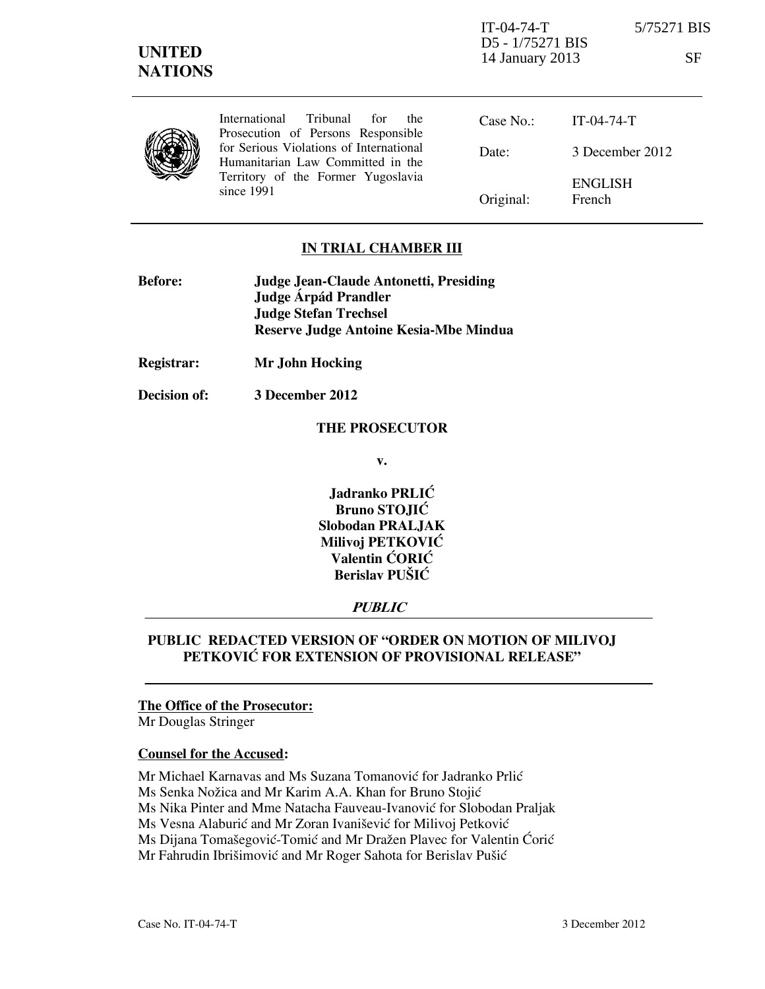IT-04-74-T 5/75271 BIS D5 - 1/75271 BIS 14 January 2013 SF



International Tribunal for the Prosecution of Persons Responsible for Serious Violations of International Humanitarian Law Committed in the Territory of the Former Yugoslavia since 1991

Case No.: Date: Original: IT-04-74-T 3 December 2012 ENGLISH French

## **IN TRIAL CHAMBER III**

| <b>Before:</b> | Judge Jean-Claude Antonetti, Presiding |
|----------------|----------------------------------------|
|                | Judge Árpád Prandler                   |
|                | <b>Judge Stefan Trechsel</b>           |
|                | Reserve Judge Antoine Kesia-Mbe Mindua |

**Registrar: Mr John Hocking** 

**Decision of: 3 December 2012** 

#### **THE PROSECUTOR**

**v.** 

**Jadranko PRLIĆ Bruno STOJIĆ Slobodan PRALJAK Milivoj PETKOVIĆ Valentin CORIC Berislav PUŠIĆ** 

### **PUBLIC**

# **PUBLIC REDACTED VERSION OF "ORDER ON MOTION OF MILIVOJ PETKOVIĆ FOR EXTENSION OF PROVISIONAL RELEASE"**

#### **The Office of the Prosecutor:**

Mr Douglas Stringer

#### **Counsel for the Accused:**

Mr Michael Karnavas and Ms Suzana Tomanović for Jadranko Prlić

Ms Senka Nožica and Mr Karim A.A. Khan for Bruno Stojić

Ms Nika Pinter and Mme Natacha Fauveau-Ivanović for Slobodan Praljak

Ms Vesna Alaburić and Mr Zoran Ivanišević for Milivoj Petković

Ms Dijana Tomašegović-Tomić and Mr Dražen Plavec for Valentin Ćorić

Mr Fahrudin Ibrišimović and Mr Roger Sahota for Berislav Pušić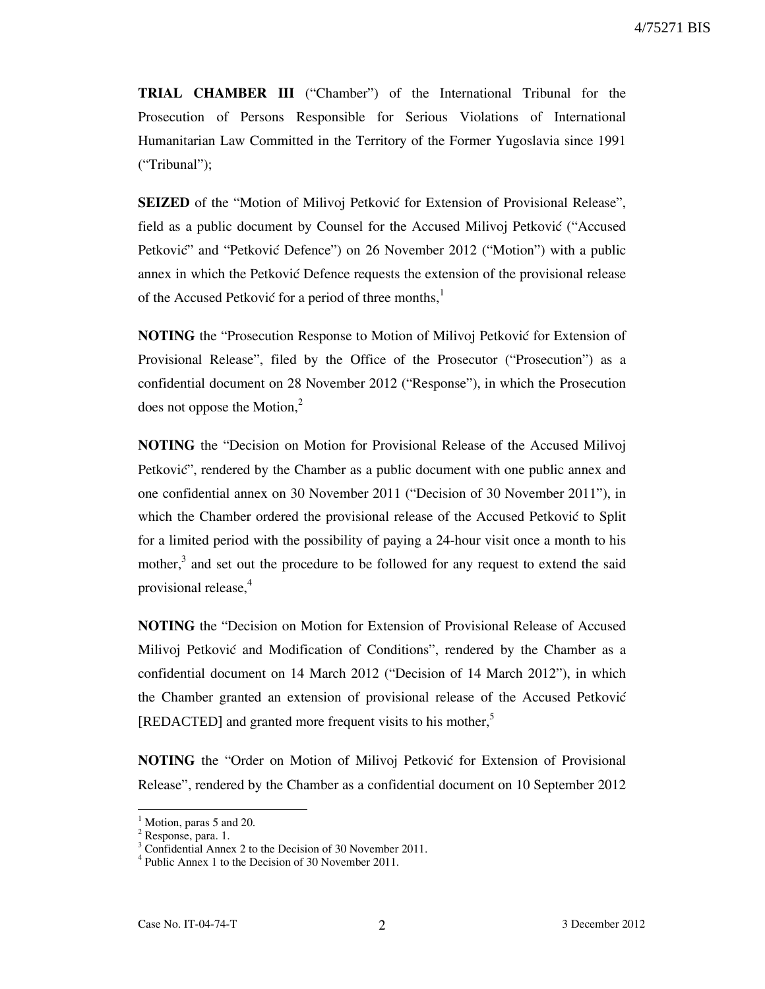**TRIAL CHAMBER III** ("Chamber") of the International Tribunal for the Prosecution of Persons Responsible for Serious Violations of International Humanitarian Law Committed in the Territory of the Former Yugoslavia since 1991 ("Tribunal");

**SEIZED** of the "Motion of Milivoj Petković for Extension of Provisional Release", field as a public document by Counsel for the Accused Milivoj Petković ("Accused" Petković" and "Petković Defence") on 26 November 2012 ("Motion") with a public annex in which the Petković Defence requests the extension of the provisional release of the Accused Petković for a period of three months, $<sup>1</sup>$ </sup>

**NOTING** the "Prosecution Response to Motion of Milivoj Petković for Extension of Provisional Release", filed by the Office of the Prosecutor ("Prosecution") as a confidential document on 28 November 2012 ("Response"), in which the Prosecution does not oppose the Motion, $<sup>2</sup>$ </sup>

**NOTING** the "Decision on Motion for Provisional Release of the Accused Milivoj Petković", rendered by the Chamber as a public document with one public annex and one confidential annex on 30 November 2011 ("Decision of 30 November 2011"), in which the Chamber ordered the provisional release of the Accused Petković to Split for a limited period with the possibility of paying a 24-hour visit once a month to his mother,<sup>3</sup> and set out the procedure to be followed for any request to extend the said provisional release,<sup>4</sup>

**NOTING** the "Decision on Motion for Extension of Provisional Release of Accused Milivoj Petković and Modification of Conditions", rendered by the Chamber as a confidential document on 14 March 2012 ("Decision of 14 March 2012"), in which the Chamber granted an extension of provisional release of the Accused Petković [REDACTED] and granted more frequent visits to his mother,<sup>5</sup>

**NOTING** the "Order on Motion of Milivoj Petković for Extension of Provisional Release", rendered by the Chamber as a confidential document on 10 September 2012

-

<sup>&</sup>lt;sup>1</sup> Motion, paras 5 and 20.

<sup>&</sup>lt;sup>2</sup> Response, para. 1.

<sup>&</sup>lt;sup>3</sup> Confidential Annex 2 to the Decision of 30 November 2011.

<sup>4</sup> Public Annex 1 to the Decision of 30 November 2011.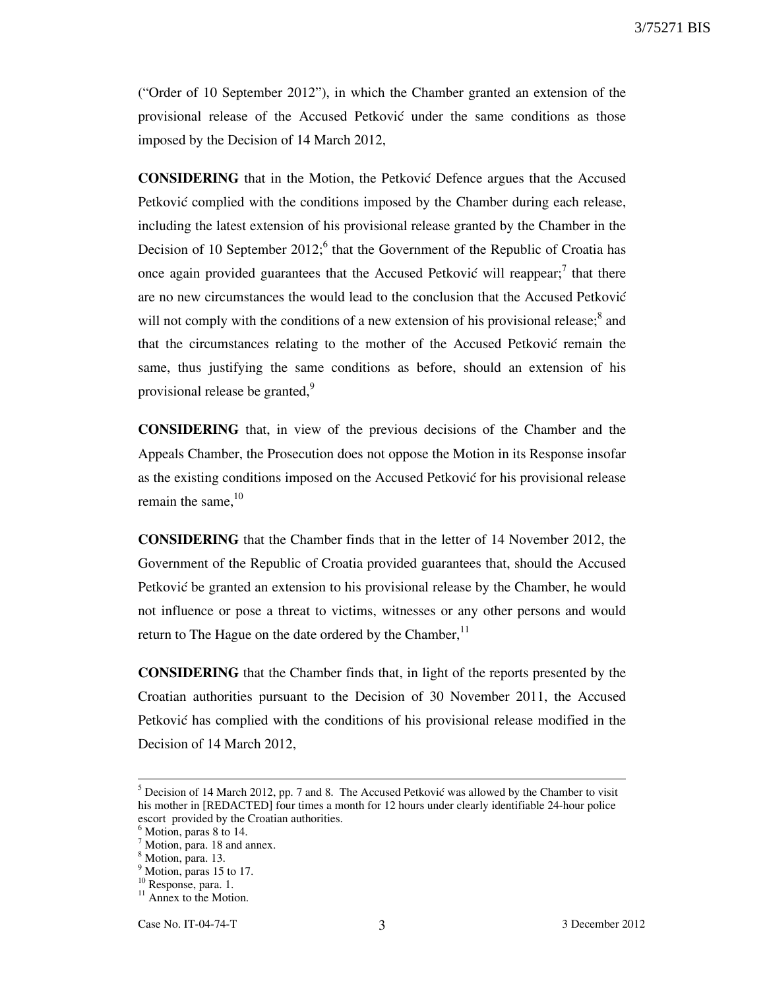("Order of 10 September 2012"), in which the Chamber granted an extension of the provisional release of the Accused Petković under the same conditions as those imposed by the Decision of 14 March 2012,

**CONSIDERING** that in the Motion, the Petković Defence argues that the Accused Petković complied with the conditions imposed by the Chamber during each release, including the latest extension of his provisional release granted by the Chamber in the Decision of 10 September  $2012$ ; that the Government of the Republic of Croatia has once again provided guarantees that the Accused Petković will reappear;<sup>7</sup> that there are no new circumstances the would lead to the conclusion that the Accused Petković will not comply with the conditions of a new extension of his provisional release; $<sup>8</sup>$  and</sup> that the circumstances relating to the mother of the Accused Petković remain the same, thus justifying the same conditions as before, should an extension of his provisional release be granted,  $9$ 

**CONSIDERING** that, in view of the previous decisions of the Chamber and the Appeals Chamber, the Prosecution does not oppose the Motion in its Response insofar as the existing conditions imposed on the Accused Petković for his provisional release remain the same,  $10$ 

**CONSIDERING** that the Chamber finds that in the letter of 14 November 2012, the Government of the Republic of Croatia provided guarantees that, should the Accused Petković be granted an extension to his provisional release by the Chamber, he would not influence or pose a threat to victims, witnesses or any other persons and would return to The Hague on the date ordered by the Chamber, $<sup>11</sup>$ </sup>

**CONSIDERING** that the Chamber finds that, in light of the reports presented by the Croatian authorities pursuant to the Decision of 30 November 2011, the Accused Petković has complied with the conditions of his provisional release modified in the Decision of 14 March 2012,

-

 $<sup>5</sup>$  Decision of 14 March 2012, pp. 7 and 8. The Accused Petković was allowed by the Chamber to visit</sup> his mother in [REDACTED] four times a month for 12 hours under clearly identifiable 24-hour police escort provided by the Croatian authorities.

<sup>&</sup>lt;sup>6</sup> Motion, paras 8 to 14.

<sup>7</sup> Motion, para. 18 and annex.

<sup>8</sup> Motion, para. 13.

<sup>&</sup>lt;sup>9</sup> Motion, paras 15 to 17.

<sup>&</sup>lt;sup>10</sup> Response, para. 1.

 $11$  Annex to the Motion.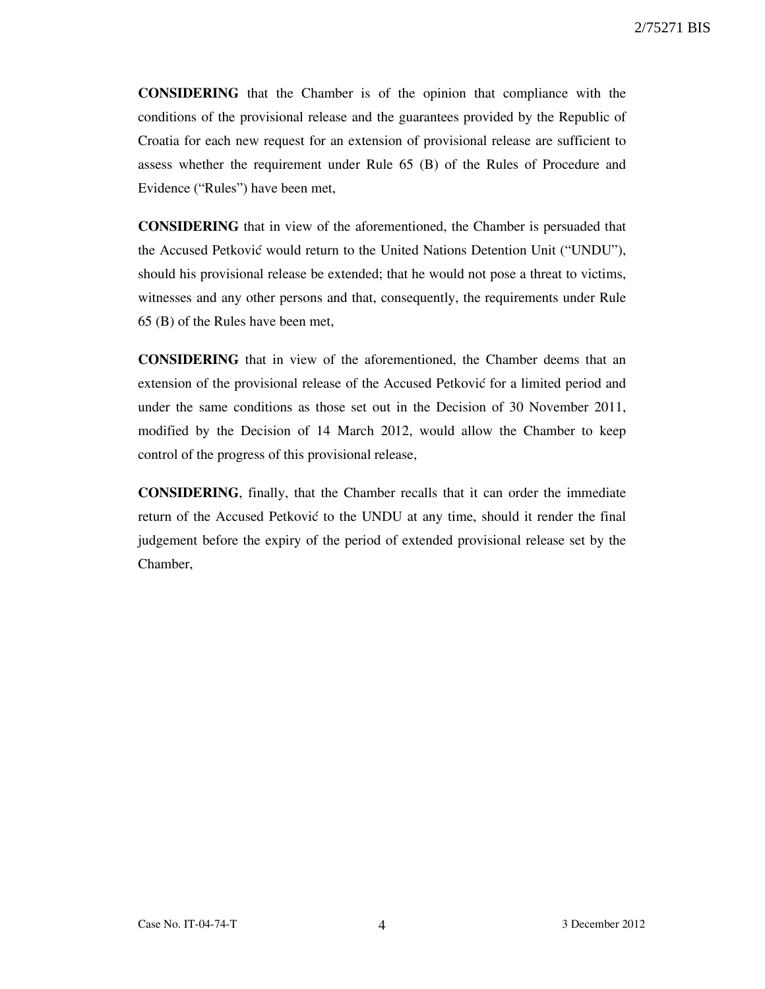**CONSIDERING** that the Chamber is of the opinion that compliance with the conditions of the provisional release and the guarantees provided by the Republic of Croatia for each new request for an extension of provisional release are sufficient to assess whether the requirement under Rule 65 (B) of the Rules of Procedure and Evidence ("Rules") have been met,

**CONSIDERING** that in view of the aforementioned, the Chamber is persuaded that the Accused Petković would return to the United Nations Detention Unit ("UNDU"), should his provisional release be extended; that he would not pose a threat to victims, witnesses and any other persons and that, consequently, the requirements under Rule 65 (B) of the Rules have been met,

**CONSIDERING** that in view of the aforementioned, the Chamber deems that an extension of the provisional release of the Accused Petković for a limited period and under the same conditions as those set out in the Decision of 30 November 2011, modified by the Decision of 14 March 2012, would allow the Chamber to keep control of the progress of this provisional release,

**CONSIDERING**, finally, that the Chamber recalls that it can order the immediate return of the Accused Petković to the UNDU at any time, should it render the final judgement before the expiry of the period of extended provisional release set by the Chamber,